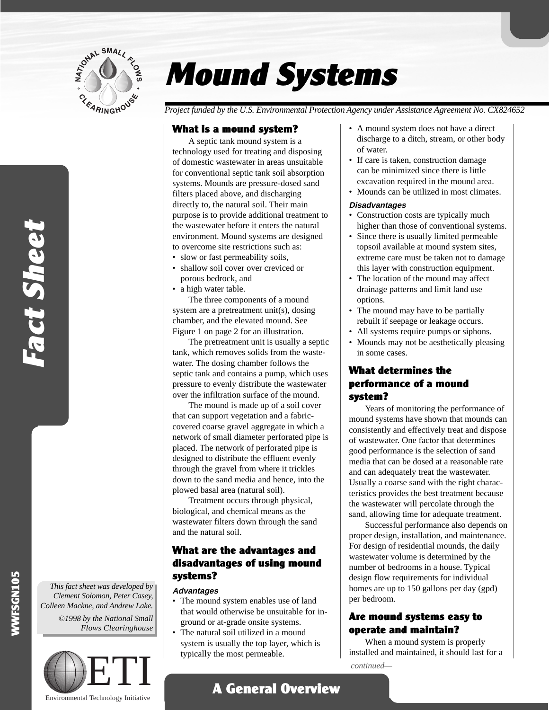

# Mound Systems

*Project funded by the U.S. Environmental Protection Agency under Assistance Agreement No. CX824652*

## What is a mound system?

A septic tank mound system is a technology used for treating and disposing of domestic wastewater in areas unsuitable for conventional septic tank soil absorption systems. Mounds are pressure-dosed sand filters placed above, and discharging directly to, the natural soil. Their main purpose is to provide additional treatment to the wastewater before it enters the natural environment. Mound systems are designed to overcome site restrictions such as:

- slow or fast permeability soils,
- shallow soil cover over creviced or porous bedrock, and
- a high water table.

The three components of a mound system are a pretreatment unit(s), dosing chamber, and the elevated mound. See Figure 1 on page 2 for an illustration.

The pretreatment unit is usually a septic tank, which removes solids from the wastewater. The dosing chamber follows the septic tank and contains a pump, which uses pressure to evenly distribute the wastewater over the infiltration surface of the mound.

The mound is made up of a soil cover that can support vegetation and a fabriccovered coarse gravel aggregate in which a network of small diameter perforated pipe is placed. The network of perforated pipe is designed to distribute the effluent evenly through the gravel from where it trickles down to the sand media and hence, into the plowed basal area (natural soil).

Treatment occurs through physical, biological, and chemical means as the wastewater filters down through the sand and the natural soil.

# What are the advantages and disadvantages of using mound systems?

#### **Advantages**

- The mound system enables use of land that would otherwise be unsuitable for inground or at-grade onsite systems.
- The natural soil utilized in a mound system is usually the top layer, which is typically the most permeable.
- A mound system does not have a direct discharge to a ditch, stream, or other body of water.
- If care is taken, construction damage can be minimized since there is little excavation required in the mound area.
- Mounds can be utilized in most climates.

#### **Disadvantages**

- Construction costs are typically much higher than those of conventional systems.
- Since there is usually limited permeable topsoil available at mound system sites, extreme care must be taken not to damage this layer with construction equipment.
- The location of the mound may affect drainage patterns and limit land use options.
- The mound may have to be partially rebuilt if seepage or leakage occurs.
- All systems require pumps or siphons.
- Mounds may not be aesthetically pleasing in some cases.

## What determines the performance of a mound system?

Years of monitoring the performance of mound systems have shown that mounds can consistently and effectively treat and dispose of wastewater. One factor that determines good performance is the selection of sand media that can be dosed at a reasonable rate and can adequately treat the wastewater. Usually a coarse sand with the right characteristics provides the best treatment because the wastewater will percolate through the sand, allowing time for adequate treatment.

Successful performance also depends on proper design, installation, and maintenance. For design of residential mounds, the daily wastewater volume is determined by the number of bedrooms in a house. Typical design flow requirements for individual homes are up to 150 gallons per day (gpd) per bedroom.

# Are mound systems easy to operate and maintain?

When a mound system is properly installed and maintained, it should last for a *continued—*

WWFSGN105

Fact Sheet

Fact Sheet

*This fact sheet was developed by Clement Solomon, Peter Casey, Colleen Mackne, and Andrew Lake. ©1998 by the National Small Flows Clearinghouse*



Environmental Technology Initiative

A General Overview